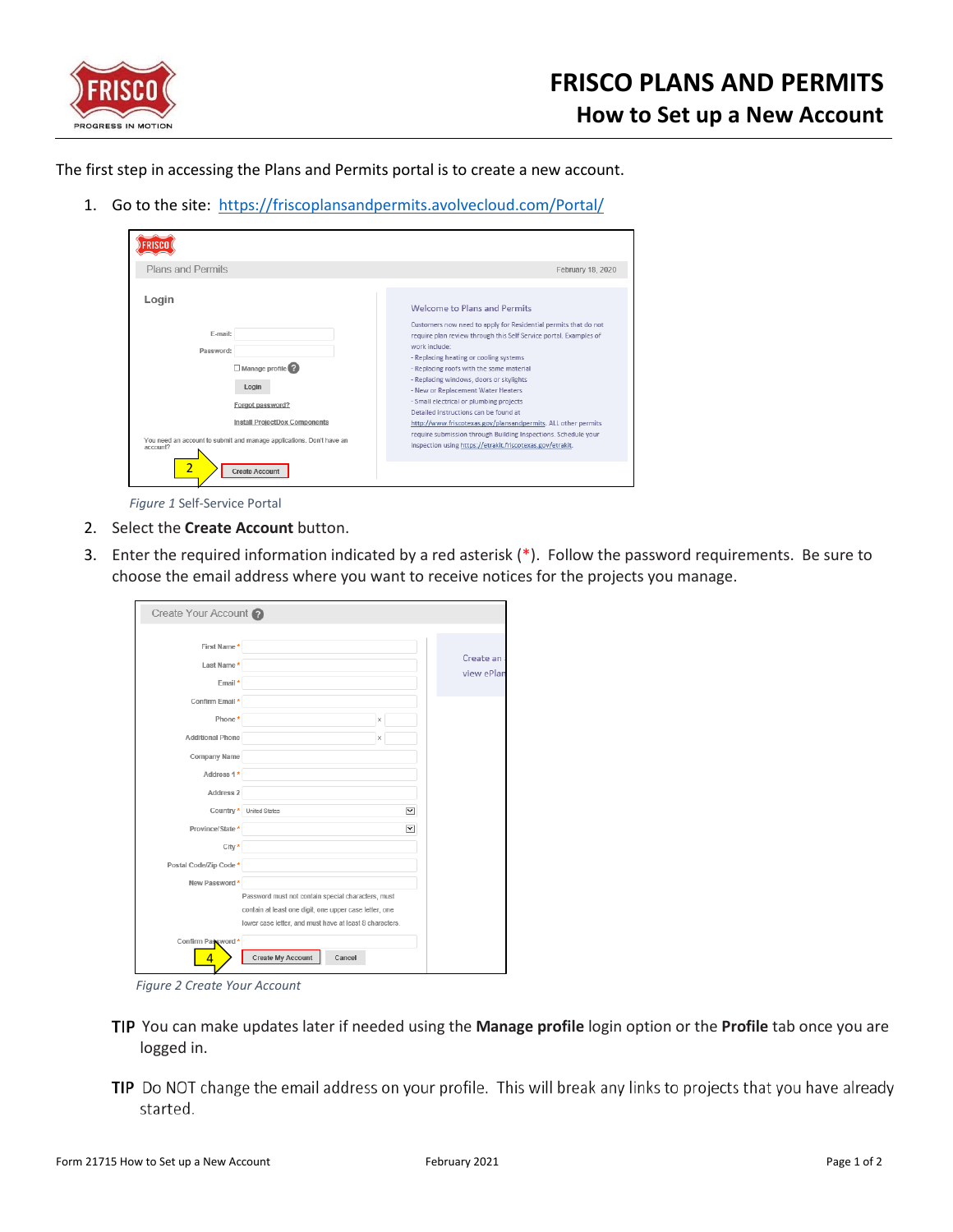

The first step in accessing the Plans and Permits portal is to create a new account.

1. Go to the site: [https://friscoplansandpermits.avolvecloud.com/Portal/](https://urldefense.proofpoint.com/v2/url?u=https-3A__friscoplansandpermits.avolvecloud.com_Portal_&d=DwMFAg&c=8Ea7zJJbY0JEz22lgscrK_swdhUaUpTNUoY3C1TF79w&r=e25oaMrl08onyJEkbrn6mdBko0cvVEZq5NiiL-bY84w&m=np0fdAxHfuOaj35jktwEyvSISWcMRUU7bzu2laRrzYk&s=_t-B4fUSttSkXLmVDJuC1Q5XiRxRsZGxpO8ZGYpbBm4&e=)

| Plans and Permits                                                                                                 | February 18, 2020                                                                                                                                                                                                                     |
|-------------------------------------------------------------------------------------------------------------------|---------------------------------------------------------------------------------------------------------------------------------------------------------------------------------------------------------------------------------------|
| Login                                                                                                             | Welcome to Plans and Permits<br>Customers now need to apply for Residential permits that do not                                                                                                                                       |
| F-mail:                                                                                                           | require plan review through this Self Service portal. Examples of<br>work include:                                                                                                                                                    |
| Password:                                                                                                         | - Replacing heating or cooling systems                                                                                                                                                                                                |
| $\Box$ Manage profile $\bigcirc$<br>Login<br>Forgot password?                                                     | - Replacing roofs with the same material<br>- Replacing windows, doors or skylights<br>- New or Replacement Water Heaters<br>- Small electrical or plumbing projects                                                                  |
| Install ProjectDox Components<br>You need an account to submit and manage applications. Don't have an<br>account? | Detailed instructions can be found at<br>http://www.friscotexas.gov/plansandpermits. ALL other permits<br>require submission through Building Inspections. Schedule your<br>inspection using https://etrakit.friscotexas.gov/etrakit. |
| $\overline{2}$<br><b>Create Account</b>                                                                           |                                                                                                                                                                                                                                       |

*Figure 1* Self-Service Portal

- 2. Select the **Create Account** button.
- 3. Enter the required information indicated by a red asterisk (\*). Follow the password requirements. Be sure to choose the email address where you want to receive notices for the projects you manage.

| Create Your Account     |                                                                                                                                                                         |   |                      |                         |
|-------------------------|-------------------------------------------------------------------------------------------------------------------------------------------------------------------------|---|----------------------|-------------------------|
|                         |                                                                                                                                                                         |   |                      |                         |
| First Name*             |                                                                                                                                                                         |   |                      |                         |
| Last Name*              |                                                                                                                                                                         |   |                      | Create an<br>view ePlan |
| Email*                  |                                                                                                                                                                         |   |                      |                         |
| Confirm Email *         |                                                                                                                                                                         |   |                      |                         |
| Phone*                  |                                                                                                                                                                         | x |                      |                         |
| <b>Additional Phone</b> |                                                                                                                                                                         | x |                      |                         |
| Company Name            |                                                                                                                                                                         |   |                      |                         |
| Address 1*              |                                                                                                                                                                         |   |                      |                         |
| Address 2               |                                                                                                                                                                         |   |                      |                         |
| Country *               | <b>United States</b>                                                                                                                                                    |   | $\vee$               |                         |
| Province/State *        |                                                                                                                                                                         |   | $\blacktriangledown$ |                         |
| City *                  |                                                                                                                                                                         |   |                      |                         |
| Postal Code/Zip Code *  |                                                                                                                                                                         |   |                      |                         |
| New Password*           |                                                                                                                                                                         |   |                      |                         |
|                         | Password must not contain special characters, must<br>contain at least one digit, one upper case letter, one<br>lower case letter, and must have at least 8 characters. |   |                      |                         |
| Confirm Password*<br>4  | Create My Account<br>Cancel                                                                                                                                             |   |                      |                         |

*Figure 2 Create Your Account*

- You can make updates later if needed using the **Manage profile** login option or the **Profile** tab once you are logged in.
- TIP Do NOT change the email address on your profile. This will break any links to projects that you have already started.